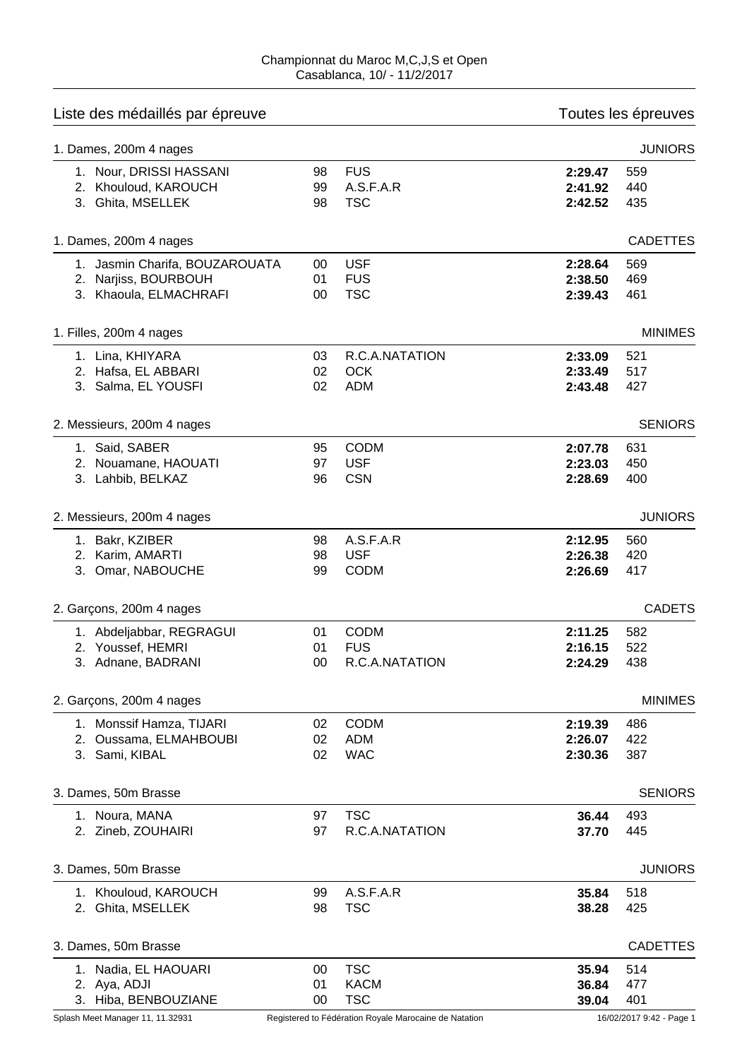| Liste des médaillés par épreuve |                 | Toutes les épreuves |         |                 |
|---------------------------------|-----------------|---------------------|---------|-----------------|
| 1. Dames, 200m 4 nages          |                 |                     |         | <b>JUNIORS</b>  |
| 1. Nour, DRISSI HASSANI         | 98              | <b>FUS</b>          | 2:29.47 | 559             |
| 2. Khouloud, KAROUCH            | 99              | A.S.F.A.R           | 2:41.92 | 440             |
| 3. Ghita, MSELLEK               | 98              | <b>TSC</b>          | 2:42.52 | 435             |
| 1. Dames, 200m 4 nages          |                 |                     |         | <b>CADETTES</b> |
| 1. Jasmin Charifa, BOUZAROUATA  | 00              | <b>USF</b>          | 2:28.64 | 569             |
| 2. Narjiss, BOURBOUH            | 01              | <b>FUS</b>          | 2:38.50 | 469             |
| 3. Khaoula, ELMACHRAFI          | 00              | <b>TSC</b>          | 2:39.43 | 461             |
| 1. Filles, 200m 4 nages         |                 |                     |         | <b>MINIMES</b>  |
| 1. Lina, KHIYARA                | 03              | R.C.A.NATATION      | 2:33.09 | 521             |
| 2. Hafsa, EL ABBARI             | 02              | <b>OCK</b>          | 2:33.49 | 517             |
| 3. Salma, EL YOUSFI             | 02              | <b>ADM</b>          | 2:43.48 | 427             |
| 2. Messieurs, 200m 4 nages      |                 |                     |         | <b>SENIORS</b>  |
| 1. Said, SABER                  | 95              | <b>CODM</b>         | 2:07.78 | 631             |
| 2. Nouamane, HAOUATI            | 97              | <b>USF</b>          | 2:23.03 | 450             |
| 3. Lahbib, BELKAZ               | 96              | <b>CSN</b>          | 2:28.69 | 400             |
|                                 |                 |                     |         |                 |
| 2. Messieurs, 200m 4 nages      |                 |                     |         | <b>JUNIORS</b>  |
| 1. Bakr, KZIBER                 | 98              | A.S.F.A.R           | 2:12.95 | 560             |
| 2. Karim, AMARTI                | 98              | <b>USF</b>          | 2:26.38 | 420             |
| 3. Omar, NABOUCHE               | 99              | <b>CODM</b>         | 2:26.69 | 417             |
| 2. Garçons, 200m 4 nages        |                 |                     |         | <b>CADETS</b>   |
| 1. Abdeljabbar, REGRAGUI        | 01              | <b>CODM</b>         | 2:11.25 | 582             |
| 2. Youssef, HEMRI               | 01              | <b>FUS</b>          | 2:16.15 | 522             |
| 3. Adnane, BADRANI              | 00 <sup>°</sup> | R.C.A.NATATION      | 2:24.29 | 438             |
| 2. Garçons, 200m 4 nages        |                 |                     |         | <b>MINIMES</b>  |
| 1. Monssif Hamza, TIJARI        | 02              | <b>CODM</b>         | 2:19.39 | 486             |
| 2. Oussama, ELMAHBOUBI          | 02              | <b>ADM</b>          | 2:26.07 | 422             |
| 3. Sami, KIBAL                  | 02              | <b>WAC</b>          | 2:30.36 | 387             |
| 3. Dames, 50m Brasse            |                 |                     |         | <b>SENIORS</b>  |
| 1. Noura, MANA                  | 97              | <b>TSC</b>          | 36.44   | 493             |
| 2. Zineb, ZOUHAIRI              | 97              | R.C.A.NATATION      | 37.70   | 445             |
| 3. Dames, 50m Brasse            |                 |                     |         | <b>JUNIORS</b>  |
| 1. Khouloud, KAROUCH            | 99              | A.S.F.A.R           | 35.84   | 518             |
| 2. Ghita, MSELLEK               | 98              | <b>TSC</b>          | 38.28   | 425             |
| 3. Dames, 50m Brasse            |                 |                     |         | <b>CADETTES</b> |
| 1. Nadia, EL HAOUARI            | 00              | <b>TSC</b>          | 35.94   | 514             |
| 2. Aya, ADJI                    | 01              | <b>KACM</b>         | 36.84   | 477             |
| 3. Hiba, BENBOUZIANE            | 00              | <b>TSC</b>          | 39.04   | 401             |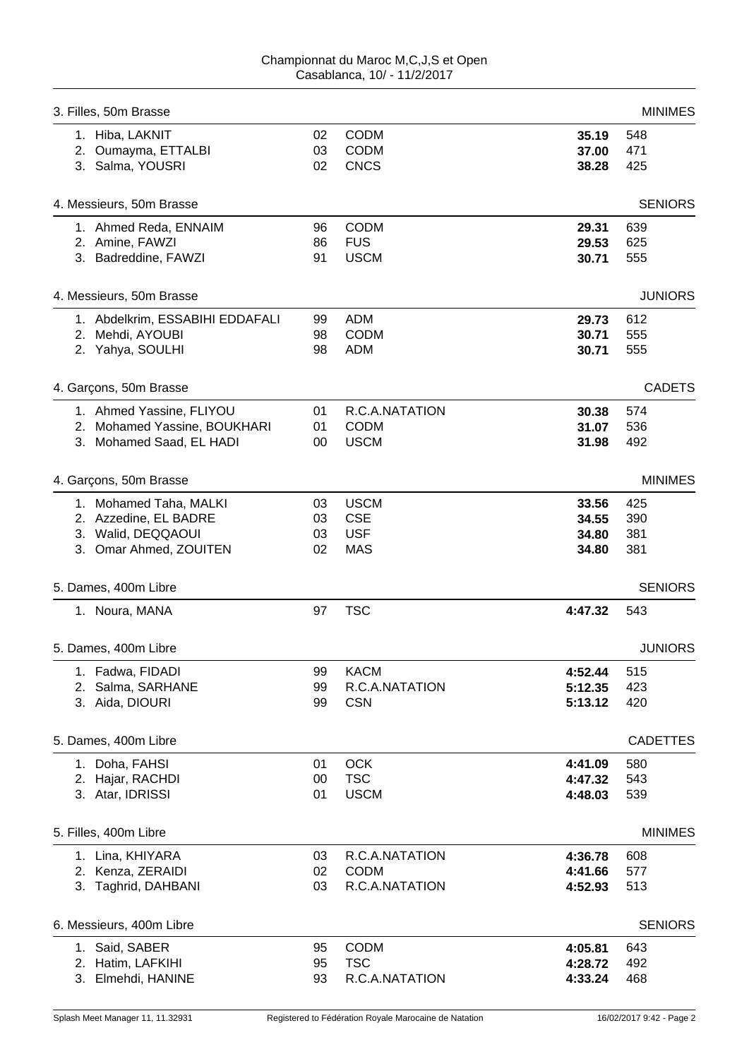| 3. Filles, 50m Brasse           |        |                |         | <b>MINIMES</b>  |
|---------------------------------|--------|----------------|---------|-----------------|
| 1. Hiba, LAKNIT                 | 02     | <b>CODM</b>    | 35.19   | 548             |
| 2. Oumayma, ETTALBI             | 03     | <b>CODM</b>    | 37.00   | 471             |
| 3. Salma, YOUSRI                | 02     | <b>CNCS</b>    | 38.28   | 425             |
| 4. Messieurs, 50m Brasse        |        |                |         | <b>SENIORS</b>  |
| 1. Ahmed Reda, ENNAIM           | 96     | <b>CODM</b>    | 29.31   | 639             |
| 2. Amine, FAWZI                 | 86     | <b>FUS</b>     | 29.53   | 625             |
| 3. Badreddine, FAWZI            | 91     | <b>USCM</b>    | 30.71   | 555             |
| 4. Messieurs, 50m Brasse        |        |                |         | <b>JUNIORS</b>  |
| 1. Abdelkrim, ESSABIHI EDDAFALI | 99     | <b>ADM</b>     | 29.73   | 612             |
| 2. Mehdi, AYOUBI                | 98     | <b>CODM</b>    | 30.71   | 555             |
| 2. Yahya, SOULHI                | 98     | <b>ADM</b>     | 30.71   | 555             |
| 4. Garçons, 50m Brasse          |        |                |         | <b>CADETS</b>   |
| 1. Ahmed Yassine, FLIYOU        | 01     | R.C.A.NATATION | 30.38   | 574             |
| 2. Mohamed Yassine, BOUKHARI    | 01     | <b>CODM</b>    | 31.07   | 536             |
| 3. Mohamed Saad, EL HADI        | $00\,$ | <b>USCM</b>    | 31.98   | 492             |
| 4. Garçons, 50m Brasse          |        |                |         | <b>MINIMES</b>  |
| 1. Mohamed Taha, MALKI          | 03     | <b>USCM</b>    | 33.56   | 425             |
| 2. Azzedine, EL BADRE           | 03     | <b>CSE</b>     | 34.55   | 390             |
| 3. Walid, DEQQAOUI              | 03     | <b>USF</b>     | 34.80   | 381             |
| 3. Omar Ahmed, ZOUITEN          | 02     | <b>MAS</b>     | 34.80   | 381             |
| 5. Dames, 400m Libre            |        |                |         | <b>SENIORS</b>  |
| 1. Noura, MANA                  | 97     | <b>TSC</b>     | 4:47.32 | 543             |
| 5. Dames, 400m Libre            |        |                |         | <b>JUNIORS</b>  |
| 1. Fadwa, FIDADI                | 99     | <b>KACM</b>    | 4:52.44 | 515             |
| 2. Salma, SARHANE               | 99     | R.C.A.NATATION | 5:12.35 | 423             |
| 3. Aida, DIOURI                 | 99     | <b>CSN</b>     | 5:13.12 | 420             |
| 5. Dames, 400m Libre            |        |                |         | <b>CADETTES</b> |
| 1. Doha, FAHSI                  | 01     | <b>OCK</b>     | 4:41.09 | 580             |
| 2. Hajar, RACHDI                | 00     | <b>TSC</b>     | 4:47.32 | 543             |
| 3. Atar, IDRISSI                | 01     | <b>USCM</b>    | 4:48.03 | 539             |
| 5. Filles, 400m Libre           |        |                |         | <b>MINIMES</b>  |
| 1. Lina, KHIYARA                | 03     | R.C.A.NATATION | 4:36.78 | 608             |
| 2. Kenza, ZERAIDI               | 02     | <b>CODM</b>    | 4:41.66 | 577             |
| 3. Taghrid, DAHBANI             | 03     | R.C.A.NATATION | 4:52.93 | 513             |
| 6. Messieurs, 400m Libre        |        |                |         | <b>SENIORS</b>  |
| 1. Said, SABER                  | 95     | <b>CODM</b>    | 4:05.81 | 643             |
| 2. Hatim, LAFKIHI               | 95     | <b>TSC</b>     | 4:28.72 | 492             |
| 3. Elmehdi, HANINE              | 93     | R.C.A.NATATION | 4:33.24 | 468             |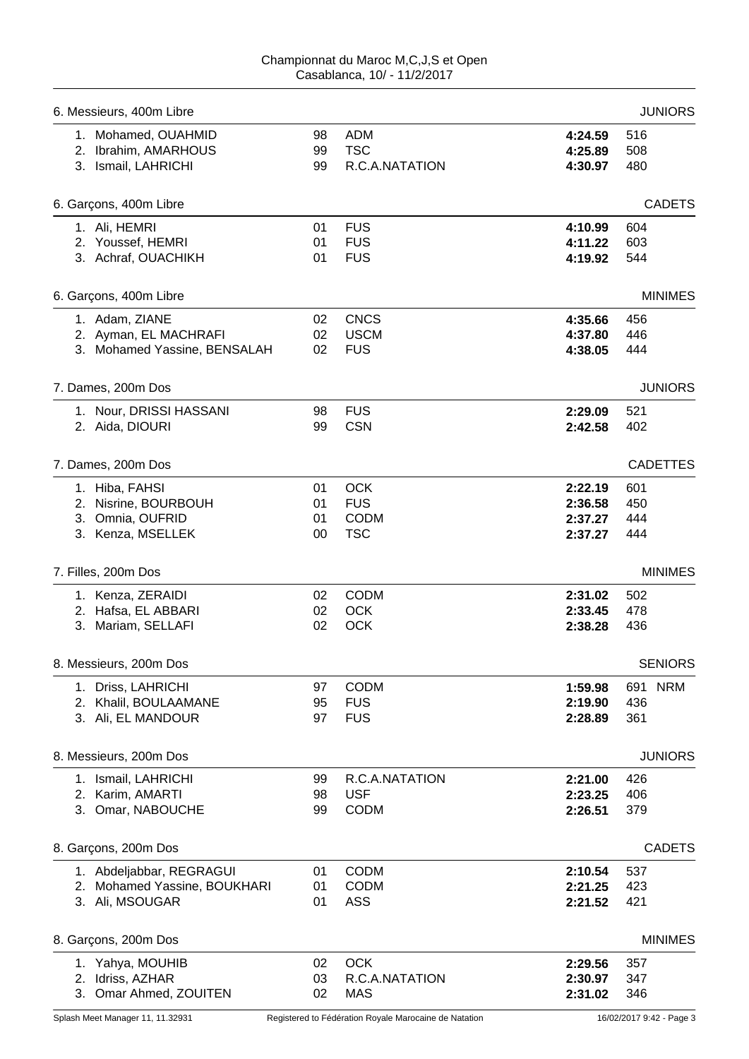| 6. Messieurs, 400m Libre     |    |                |         | <b>JUNIORS</b>  |
|------------------------------|----|----------------|---------|-----------------|
| 1. Mohamed, OUAHMID          | 98 | <b>ADM</b>     | 4:24.59 | 516             |
| 2. Ibrahim, AMARHOUS         | 99 | <b>TSC</b>     | 4:25.89 | 508             |
| 3. Ismail, LAHRICHI          | 99 | R.C.A.NATATION | 4:30.97 | 480             |
| 6. Garçons, 400m Libre       |    |                |         | <b>CADETS</b>   |
| 1. Ali, HEMRI                | 01 | <b>FUS</b>     | 4:10.99 | 604             |
| 2. Youssef, HEMRI            | 01 | <b>FUS</b>     | 4:11.22 | 603             |
| 3. Achraf, OUACHIKH          | 01 | <b>FUS</b>     | 4:19.92 | 544             |
| 6. Garçons, 400m Libre       |    |                |         | <b>MINIMES</b>  |
| 1. Adam, ZIANE               | 02 | <b>CNCS</b>    | 4:35.66 | 456             |
| 2. Ayman, EL MACHRAFI        | 02 | <b>USCM</b>    | 4:37.80 | 446             |
| 3. Mohamed Yassine, BENSALAH | 02 | <b>FUS</b>     | 4:38.05 | 444             |
| 7. Dames, 200m Dos           |    |                |         | <b>JUNIORS</b>  |
| 1. Nour, DRISSI HASSANI      | 98 | <b>FUS</b>     | 2:29.09 | 521             |
| 2. Aida, DIOURI              | 99 | <b>CSN</b>     | 2:42.58 | 402             |
| 7. Dames, 200m Dos           |    |                |         | <b>CADETTES</b> |
| 1. Hiba, FAHSI               | 01 | <b>OCK</b>     | 2:22.19 | 601             |
| 2. Nisrine, BOURBOUH         | 01 | <b>FUS</b>     | 2:36.58 | 450             |
| 3. Omnia, OUFRID             | 01 | <b>CODM</b>    | 2:37.27 | 444             |
| 3. Kenza, MSELLEK            | 00 | <b>TSC</b>     | 2:37.27 | 444             |
| 7. Filles, 200m Dos          |    |                |         | <b>MINIMES</b>  |
| 1. Kenza, ZERAIDI            | 02 | <b>CODM</b>    | 2:31.02 | 502             |
| 2. Hafsa, EL ABBARI          | 02 | OCK            | 2:33.45 | 478             |
| 3. Mariam, SELLAFI           | 02 | OCK            | 2:38.28 | 436             |
| 8. Messieurs, 200m Dos       |    |                |         | <b>SENIORS</b>  |
| 1. Driss, LAHRICHI           | 97 | <b>CODM</b>    | 1:59.98 | 691 NRM         |
| 2. Khalil, BOULAAMANE        | 95 | <b>FUS</b>     | 2:19.90 | 436             |
| 3. Ali, EL MANDOUR           | 97 | <b>FUS</b>     | 2:28.89 | 361             |
| 8. Messieurs, 200m Dos       |    |                |         | <b>JUNIORS</b>  |
| 1. Ismail, LAHRICHI          | 99 | R.C.A.NATATION | 2:21.00 | 426             |
| 2. Karim, AMARTI             | 98 | <b>USF</b>     | 2:23.25 | 406             |
| 3. Omar, NABOUCHE            | 99 | <b>CODM</b>    | 2:26.51 | 379             |
| 8. Garçons, 200m Dos         |    |                |         | <b>CADETS</b>   |
| 1. Abdeljabbar, REGRAGUI     | 01 | <b>CODM</b>    | 2:10.54 | 537             |
| 2. Mohamed Yassine, BOUKHARI | 01 | <b>CODM</b>    | 2:21.25 | 423             |
| 3. Ali, MSOUGAR              | 01 | <b>ASS</b>     | 2:21.52 | 421             |
| 8. Garçons, 200m Dos         |    |                |         | <b>MINIMES</b>  |
| 1. Yahya, MOUHIB             | 02 | <b>OCK</b>     | 2:29.56 | 357             |
| 2. Idriss, AZHAR             | 03 | R.C.A.NATATION | 2:30.97 | 347             |
| 3. Omar Ahmed, ZOUITEN       | 02 | <b>MAS</b>     | 2:31.02 | 346             |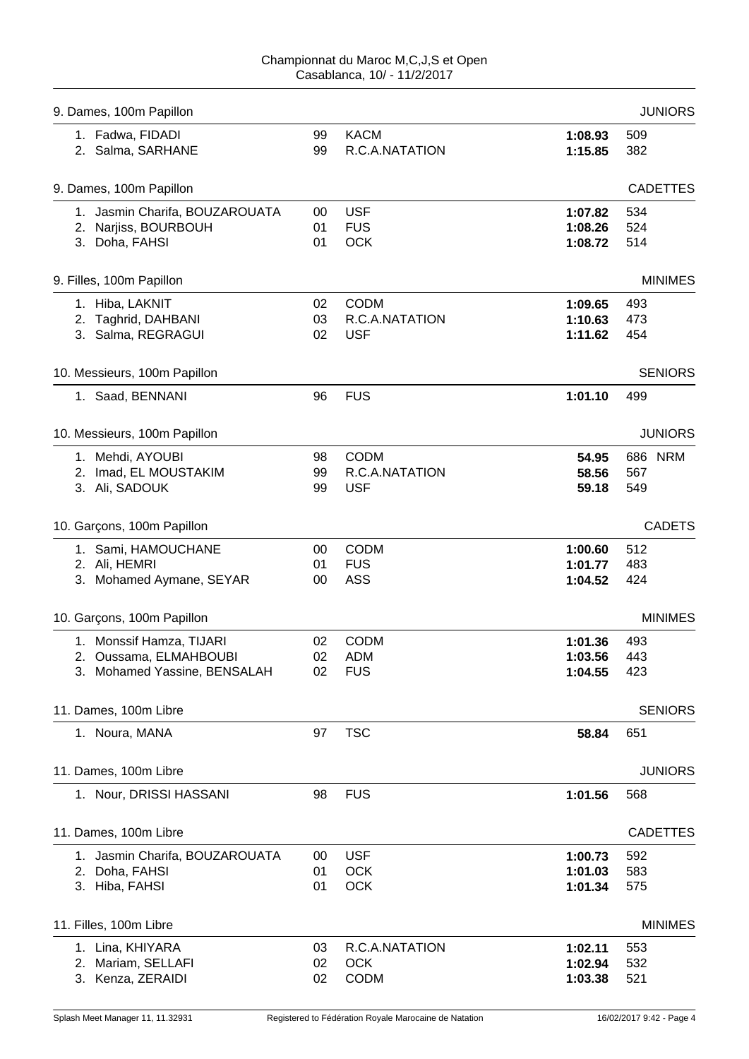|        |                                  |                                                                                          | <b>JUNIORS</b>                                      |
|--------|----------------------------------|------------------------------------------------------------------------------------------|-----------------------------------------------------|
| 99     | <b>KACM</b>                      | 1:08.93                                                                                  | 509                                                 |
| 99     | R.C.A.NATATION                   | 1:15.85                                                                                  | 382                                                 |
|        |                                  |                                                                                          | <b>CADETTES</b>                                     |
| $00\,$ | <b>USF</b>                       | 1:07.82                                                                                  | 534                                                 |
|        |                                  | 1:08.26                                                                                  | 524                                                 |
|        |                                  | 1:08.72                                                                                  | 514                                                 |
|        |                                  |                                                                                          | <b>MINIMES</b>                                      |
| 02     | CODM                             | 1:09.65                                                                                  | 493                                                 |
| 03     | R.C.A.NATATION                   | 1:10.63                                                                                  | 473                                                 |
| 02     | <b>USF</b>                       | 1:11.62                                                                                  | 454                                                 |
|        |                                  |                                                                                          | <b>SENIORS</b>                                      |
| 96     | <b>FUS</b>                       | 1:01.10                                                                                  | 499                                                 |
|        |                                  |                                                                                          | <b>JUNIORS</b>                                      |
| 98     | <b>CODM</b>                      | 54.95                                                                                    | 686 NRM                                             |
| 99     | R.C.A.NATATION                   | 58.56                                                                                    | 567                                                 |
| 99     | <b>USF</b>                       | 59.18                                                                                    | 549                                                 |
|        |                                  |                                                                                          | <b>CADETS</b>                                       |
| $00\,$ | <b>CODM</b>                      | 1:00.60                                                                                  | 512                                                 |
| 01     | <b>FUS</b>                       | 1:01.77                                                                                  | 483                                                 |
| 00     | <b>ASS</b>                       | 1:04.52                                                                                  | 424                                                 |
|        |                                  |                                                                                          | <b>MINIMES</b>                                      |
| 02     | <b>CODM</b>                      |                                                                                          | 493                                                 |
| 02     | <b>ADM</b>                       | 1:03.56                                                                                  | 443                                                 |
| 02     | <b>FUS</b>                       | 1:04.55                                                                                  | 423                                                 |
|        |                                  |                                                                                          | <b>SENIORS</b>                                      |
| 97     | <b>TSC</b>                       | 58.84                                                                                    | 651                                                 |
|        |                                  |                                                                                          | <b>JUNIORS</b>                                      |
| 98     | <b>FUS</b>                       | 1:01.56                                                                                  | 568                                                 |
|        |                                  |                                                                                          | <b>CADETTES</b>                                     |
|        |                                  |                                                                                          |                                                     |
|        |                                  |                                                                                          | 592<br>583                                          |
|        |                                  |                                                                                          | 575                                                 |
|        |                                  |                                                                                          |                                                     |
|        |                                  |                                                                                          | <b>MINIMES</b>                                      |
| 03     | R.C.A.NATATION                   | 1:02.11                                                                                  | 553                                                 |
| 02     |                                  | 1:02.94                                                                                  | 532                                                 |
|        |                                  |                                                                                          | 521                                                 |
|        | 01<br>01<br>00<br>01<br>01<br>02 | <b>FUS</b><br><b>OCK</b><br><b>USF</b><br><b>OCK</b><br>OCK<br><b>OCK</b><br><b>CODM</b> | 1:01.36<br>1:00.73<br>1:01.03<br>1:01.34<br>1:03.38 |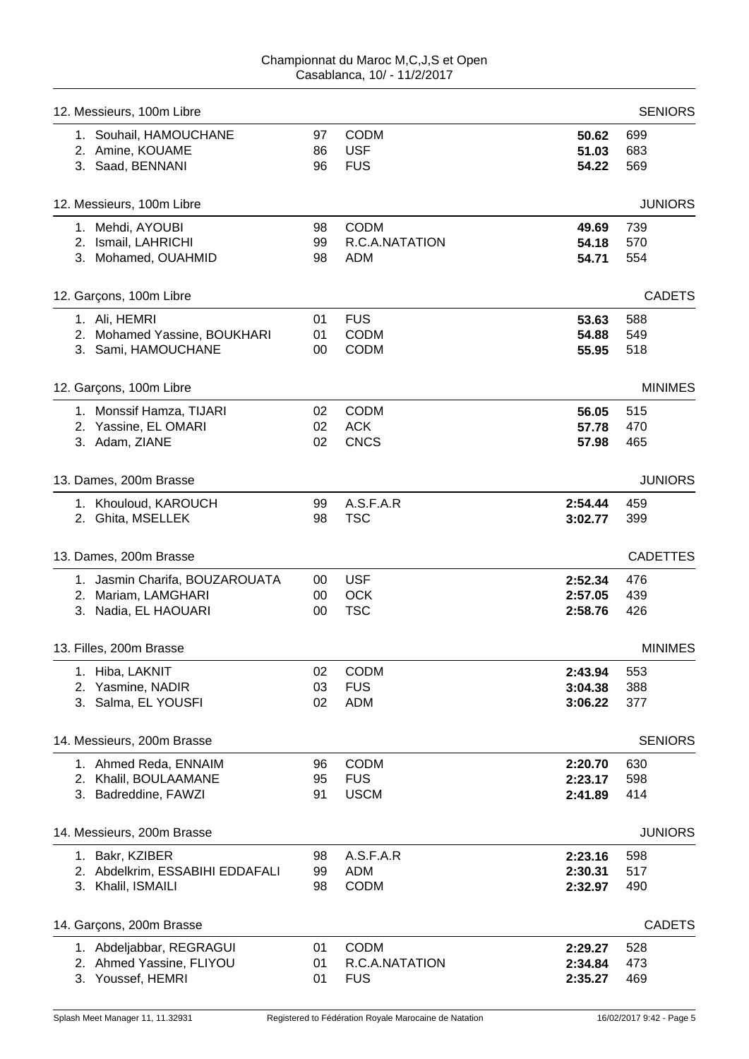| 12. Messieurs, 100m Libre                                      |                |                                         |                         | <b>SENIORS</b>    |
|----------------------------------------------------------------|----------------|-----------------------------------------|-------------------------|-------------------|
| 1. Souhail, HAMOUCHANE<br>2. Amine, KOUAME<br>3. Saad, BENNANI | 97<br>86<br>96 | <b>CODM</b><br><b>USF</b><br><b>FUS</b> | 50.62<br>51.03<br>54.22 | 699<br>683<br>569 |
|                                                                |                |                                         |                         |                   |
| 12. Messieurs, 100m Libre                                      |                |                                         |                         | <b>JUNIORS</b>    |
| 1. Mehdi, AYOUBI                                               | 98             | <b>CODM</b>                             | 49.69                   | 739               |
| 2. Ismail, LAHRICHI                                            | 99             | R.C.A.NATATION                          | 54.18                   | 570               |
| 3. Mohamed, OUAHMID                                            | 98             | <b>ADM</b>                              | 54.71                   | 554               |
| 12. Garçons, 100m Libre                                        |                |                                         |                         | <b>CADETS</b>     |
| 1. Ali, HEMRI                                                  | 01             | <b>FUS</b>                              | 53.63                   | 588               |
| 2. Mohamed Yassine, BOUKHARI                                   | 01             | <b>CODM</b>                             | 54.88                   | 549               |
| 3. Sami, HAMOUCHANE                                            | 00             | <b>CODM</b>                             | 55.95                   | 518               |
| 12. Garçons, 100m Libre                                        |                |                                         |                         | <b>MINIMES</b>    |
| 1. Monssif Hamza, TIJARI                                       | 02             | <b>CODM</b>                             | 56.05                   | 515               |
| 2. Yassine, EL OMARI                                           | 02             | <b>ACK</b>                              | 57.78                   | 470               |
| 3. Adam, ZIANE                                                 | 02             | <b>CNCS</b>                             | 57.98                   | 465               |
| 13. Dames, 200m Brasse                                         |                |                                         |                         | <b>JUNIORS</b>    |
| 1. Khouloud, KAROUCH                                           | 99             | A.S.F.A.R                               | 2:54.44                 | 459               |
| 2. Ghita, MSELLEK                                              | 98             | <b>TSC</b>                              | 3:02.77                 | 399               |
| 13. Dames, 200m Brasse                                         |                |                                         |                         | <b>CADETTES</b>   |
| 1. Jasmin Charifa, BOUZAROUATA                                 | 00             | <b>USF</b>                              | 2:52.34                 | 476               |
| 2. Mariam, LAMGHARI                                            | 00             | <b>OCK</b>                              | 2:57.05                 | 439               |
| 3. Nadia, EL HAOUARI                                           | 00             | <b>TSC</b>                              | 2:58.76                 | 426               |
| 13. Filles, 200m Brasse                                        |                |                                         |                         | <b>MINIMES</b>    |
| Hiba, LAKNIT<br>1.                                             | 02             | CODM                                    | 2:43.94                 | 553               |
| 2. Yasmine, NADIR                                              | 03             | <b>FUS</b>                              | 3:04.38                 | 388               |
| 3. Salma, EL YOUSFI                                            | 02             | <b>ADM</b>                              | 3:06.22                 | 377               |
| 14. Messieurs, 200m Brasse                                     |                |                                         |                         | <b>SENIORS</b>    |
| 1. Ahmed Reda, ENNAIM                                          | 96             | <b>CODM</b>                             | 2:20.70                 | 630               |
| 2. Khalil, BOULAAMANE                                          | 95             | <b>FUS</b>                              | 2:23.17                 | 598               |
| 3. Badreddine, FAWZI                                           | 91             | <b>USCM</b>                             | 2:41.89                 | 414               |
| 14. Messieurs, 200m Brasse                                     |                |                                         |                         | <b>JUNIORS</b>    |
| 1. Bakr, KZIBER                                                | 98             | A.S.F.A.R                               | 2:23.16                 | 598               |
| 2. Abdelkrim, ESSABIHI EDDAFALI                                | 99             | ADM                                     | 2:30.31                 | 517               |
| 3. Khalil, ISMAILI                                             | 98             | <b>CODM</b>                             | 2:32.97                 | 490               |
| 14. Garçons, 200m Brasse                                       |                |                                         |                         | <b>CADETS</b>     |
| 1. Abdeljabbar, REGRAGUI                                       | 01             | <b>CODM</b>                             | 2:29.27                 | 528               |
| 2. Ahmed Yassine, FLIYOU                                       | 01             | R.C.A.NATATION                          | 2:34.84                 | 473               |
| 3. Youssef, HEMRI                                              | 01             | <b>FUS</b>                              | 2:35.27                 | 469               |
|                                                                |                |                                         |                         |                   |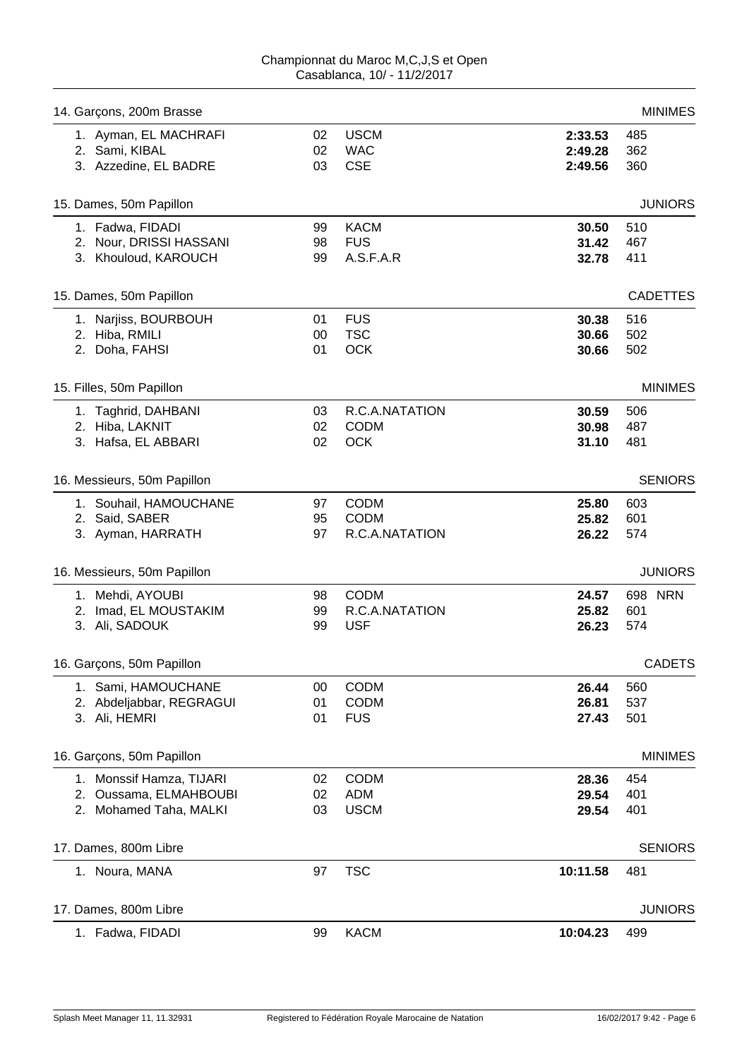| 14. Garçons, 200m Brasse    |    |                |          | <b>MINIMES</b>  |
|-----------------------------|----|----------------|----------|-----------------|
| 1. Ayman, EL MACHRAFI       | 02 | <b>USCM</b>    | 2:33.53  | 485             |
| 2. Sami, KIBAL              | 02 | <b>WAC</b>     | 2:49.28  | 362             |
| 3. Azzedine, EL BADRE       | 03 | <b>CSE</b>     | 2:49.56  | 360             |
| 15. Dames, 50m Papillon     |    |                |          | <b>JUNIORS</b>  |
| 1. Fadwa, FIDADI            | 99 | <b>KACM</b>    | 30.50    | 510             |
| 2. Nour, DRISSI HASSANI     | 98 | <b>FUS</b>     | 31.42    | 467             |
| 3. Khouloud, KAROUCH        | 99 | A.S.F.A.R      | 32.78    | 411             |
| 15. Dames, 50m Papillon     |    |                |          | <b>CADETTES</b> |
| 1. Narjiss, BOURBOUH        | 01 | <b>FUS</b>     | 30.38    | 516             |
| 2. Hiba, RMILI              | 00 | <b>TSC</b>     | 30.66    | 502             |
| 2. Doha, FAHSI              | 01 | <b>OCK</b>     | 30.66    | 502             |
| 15. Filles, 50m Papillon    |    |                |          | <b>MINIMES</b>  |
| 1. Taghrid, DAHBANI         | 03 | R.C.A.NATATION | 30.59    | 506             |
| 2. Hiba, LAKNIT             | 02 | <b>CODM</b>    | 30.98    | 487             |
| 3. Hafsa, EL ABBARI         | 02 | <b>OCK</b>     | 31.10    | 481             |
| 16. Messieurs, 50m Papillon |    |                |          | <b>SENIORS</b>  |
| 1. Souhail, HAMOUCHANE      | 97 | <b>CODM</b>    | 25.80    | 603             |
| 2. Said, SABER              | 95 | <b>CODM</b>    | 25.82    | 601             |
| 3. Ayman, HARRATH           | 97 | R.C.A.NATATION | 26.22    | 574             |
| 16. Messieurs, 50m Papillon |    |                |          | <b>JUNIORS</b>  |
| 1. Mehdi, AYOUBI            | 98 | <b>CODM</b>    | 24.57    | 698 NRN         |
| 2. Imad, EL MOUSTAKIM       | 99 | R.C.A.NATATION | 25.82    | 601             |
| 3. Ali, SADOUK              | 99 | <b>USF</b>     | 26.23    | 574             |
| 16. Garçons, 50m Papillon   |    |                |          | <b>CADETS</b>   |
| 1. Sami, HAMOUCHANE         | 00 | <b>CODM</b>    | 26.44    | 560             |
| 2. Abdeljabbar, REGRAGUI    | 01 | <b>CODM</b>    | 26.81    | 537             |
| 3. Ali, HEMRI               | 01 | <b>FUS</b>     | 27.43    | 501             |
| 16. Garçons, 50m Papillon   |    |                |          | <b>MINIMES</b>  |
| 1. Monssif Hamza, TIJARI    | 02 | <b>CODM</b>    | 28.36    | 454             |
| 2. Oussama, ELMAHBOUBI      | 02 | <b>ADM</b>     | 29.54    | 401             |
| 2. Mohamed Taha, MALKI      | 03 | <b>USCM</b>    | 29.54    | 401             |
| 17. Dames, 800m Libre       |    |                |          | <b>SENIORS</b>  |
| 1. Noura, MANA              | 97 | <b>TSC</b>     | 10:11.58 | 481             |
| 17. Dames, 800m Libre       |    |                |          | <b>JUNIORS</b>  |
| 1. Fadwa, FIDADI            | 99 | <b>KACM</b>    | 10:04.23 | 499             |
|                             |    |                |          |                 |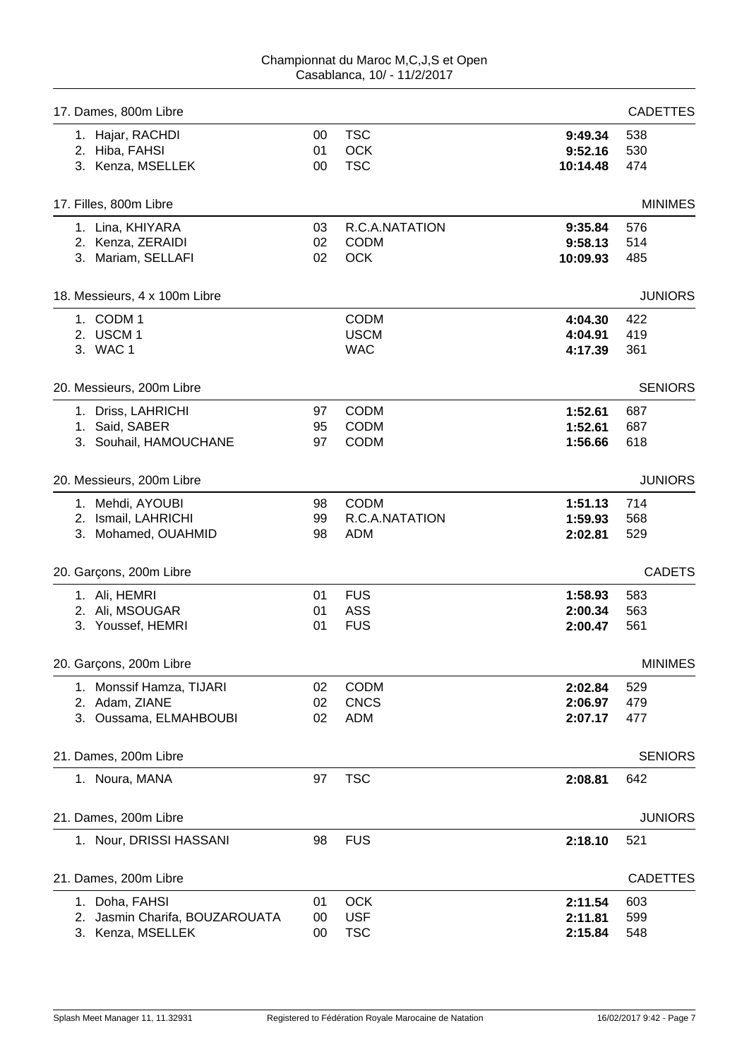| <b>MINIMES</b>  |
|-----------------|
|                 |
|                 |
|                 |
| <b>JUNIORS</b>  |
|                 |
|                 |
|                 |
| <b>SENIORS</b>  |
|                 |
|                 |
|                 |
|                 |
| <b>JUNIORS</b>  |
|                 |
|                 |
|                 |
| <b>CADETS</b>   |
|                 |
|                 |
|                 |
| <b>MINIMES</b>  |
|                 |
|                 |
|                 |
| <b>SENIORS</b>  |
|                 |
|                 |
| <b>JUNIORS</b>  |
|                 |
| <b>CADETTES</b> |
|                 |
|                 |
|                 |
|                 |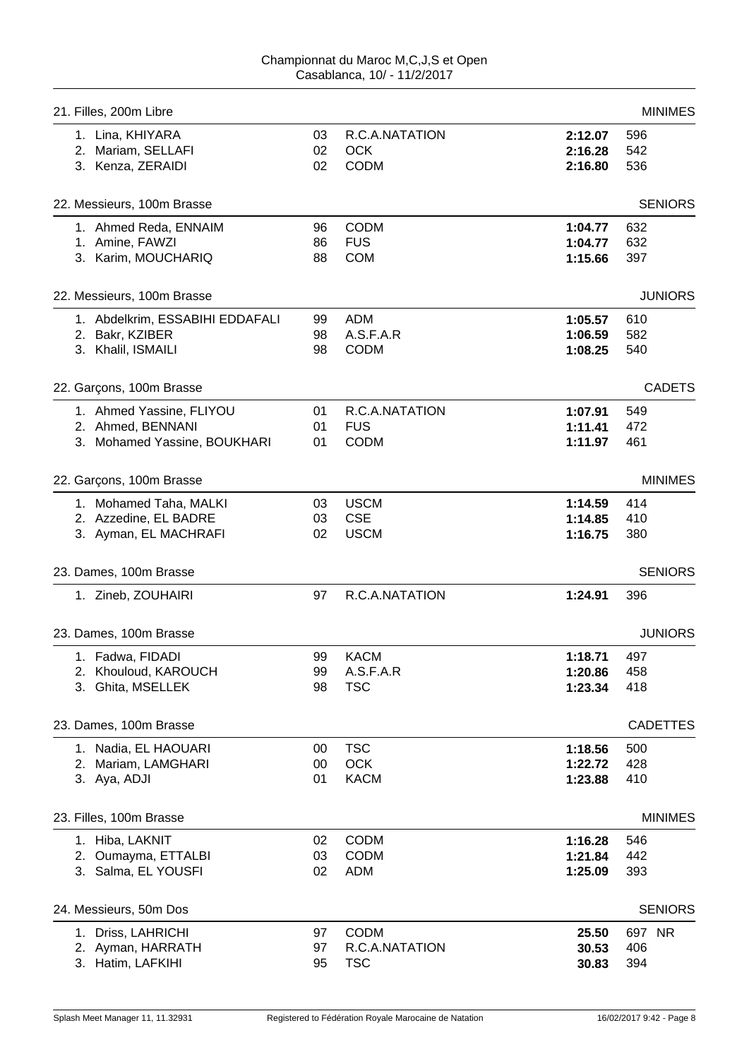| 21. Filles, 200m Libre          |    |                |         | <b>MINIMES</b>  |
|---------------------------------|----|----------------|---------|-----------------|
| 1. Lina, KHIYARA                | 03 | R.C.A.NATATION | 2:12.07 | 596             |
| 2. Mariam, SELLAFI              | 02 | <b>OCK</b>     | 2:16.28 | 542             |
| 3. Kenza, ZERAIDI               | 02 | <b>CODM</b>    | 2:16.80 | 536             |
| 22. Messieurs, 100m Brasse      |    |                |         | <b>SENIORS</b>  |
| 1. Ahmed Reda, ENNAIM           | 96 | <b>CODM</b>    | 1:04.77 | 632             |
| 1. Amine, FAWZI                 | 86 | <b>FUS</b>     | 1:04.77 | 632             |
| 3. Karim, MOUCHARIQ             | 88 | <b>COM</b>     | 1:15.66 | 397             |
| 22. Messieurs, 100m Brasse      |    |                |         | <b>JUNIORS</b>  |
| 1. Abdelkrim, ESSABIHI EDDAFALI | 99 | <b>ADM</b>     | 1:05.57 | 610             |
| 2. Bakr, KZIBER                 | 98 | A.S.F.A.R      | 1:06.59 | 582             |
| 3. Khalil, ISMAILI              | 98 | <b>CODM</b>    | 1:08.25 | 540             |
| 22. Garçons, 100m Brasse        |    |                |         | <b>CADETS</b>   |
| 1. Ahmed Yassine, FLIYOU        | 01 | R.C.A.NATATION | 1:07.91 | 549             |
| 2. Ahmed, BENNANI               | 01 | <b>FUS</b>     | 1:11.41 | 472             |
| 3. Mohamed Yassine, BOUKHARI    | 01 | <b>CODM</b>    | 1:11.97 | 461             |
| 22. Garçons, 100m Brasse        |    |                |         | <b>MINIMES</b>  |
| 1. Mohamed Taha, MALKI          | 03 | <b>USCM</b>    | 1:14.59 | 414             |
| 2. Azzedine, EL BADRE           | 03 | <b>CSE</b>     | 1:14.85 | 410             |
| 3. Ayman, EL MACHRAFI           | 02 | <b>USCM</b>    | 1:16.75 | 380             |
| 23. Dames, 100m Brasse          |    |                |         | <b>SENIORS</b>  |
| 1. Zineb, ZOUHAIRI              | 97 | R.C.A.NATATION | 1:24.91 | 396             |
| 23. Dames, 100m Brasse          |    |                |         | <b>JUNIORS</b>  |
| 1. Fadwa, FIDADI                | 99 | <b>KACM</b>    | 1:18.71 | 497             |
| 2. Khouloud, KAROUCH            | 99 | A.S.F.A.R      | 1:20.86 | 458             |
| 3. Ghita, MSELLEK               | 98 | <b>TSC</b>     | 1:23.34 | 418             |
| 23. Dames, 100m Brasse          |    |                |         | <b>CADETTES</b> |
| 1. Nadia, EL HAOUARI            | 00 | <b>TSC</b>     | 1:18.56 | 500             |
| 2. Mariam, LAMGHARI             | 00 | <b>OCK</b>     | 1:22.72 | 428             |
| 3. Aya, ADJI                    | 01 | <b>KACM</b>    | 1:23.88 | 410             |
| 23. Filles, 100m Brasse         |    |                |         | <b>MINIMES</b>  |
| 1. Hiba, LAKNIT                 | 02 | <b>CODM</b>    | 1:16.28 | 546             |
| 2. Oumayma, ETTALBI             | 03 | <b>CODM</b>    | 1:21.84 | 442             |
| 3. Salma, EL YOUSFI             | 02 | <b>ADM</b>     | 1:25.09 | 393             |
| 24. Messieurs, 50m Dos          |    |                |         | <b>SENIORS</b>  |
| 1. Driss, LAHRICHI              | 97 | <b>CODM</b>    | 25.50   | 697 NR          |
| 2. Ayman, HARRATH               | 97 | R.C.A.NATATION | 30.53   | 406             |
| 3. Hatim, LAFKIHI               | 95 | <b>TSC</b>     | 30.83   | 394             |
|                                 |    |                |         |                 |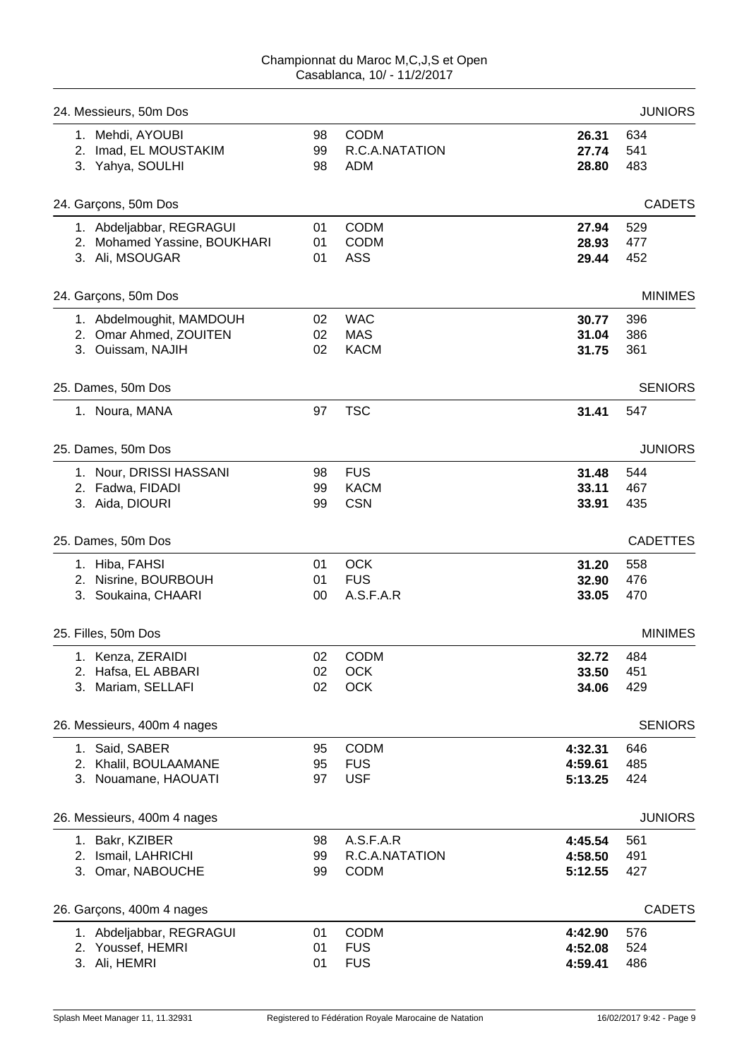| 24. Messieurs, 50m Dos       |        |                |         | <b>JUNIORS</b>  |
|------------------------------|--------|----------------|---------|-----------------|
| 1. Mehdi, AYOUBI             | 98     | <b>CODM</b>    | 26.31   | 634             |
| 2. Imad, EL MOUSTAKIM        | 99     | R.C.A.NATATION | 27.74   | 541             |
| 3. Yahya, SOULHI             | 98     | <b>ADM</b>     | 28.80   | 483             |
| 24. Garçons, 50m Dos         |        |                |         | <b>CADETS</b>   |
| 1. Abdeljabbar, REGRAGUI     | 01     | <b>CODM</b>    | 27.94   | 529             |
| 2. Mohamed Yassine, BOUKHARI | 01     | <b>CODM</b>    | 28.93   | 477             |
| 3. Ali, MSOUGAR              | 01     | <b>ASS</b>     | 29.44   | 452             |
| 24. Garçons, 50m Dos         |        |                |         | <b>MINIMES</b>  |
| 1. Abdelmoughit, MAMDOUH     | 02     | <b>WAC</b>     | 30.77   | 396             |
| 2. Omar Ahmed, ZOUITEN       | 02     | <b>MAS</b>     | 31.04   | 386             |
| 3. Ouissam, NAJIH            | 02     | <b>KACM</b>    | 31.75   | 361             |
| 25. Dames, 50m Dos           |        |                |         | <b>SENIORS</b>  |
| 1. Noura, MANA               | 97     | <b>TSC</b>     | 31.41   | 547             |
| 25. Dames, 50m Dos           |        |                |         | <b>JUNIORS</b>  |
| 1. Nour, DRISSI HASSANI      | 98     | <b>FUS</b>     | 31.48   | 544             |
| 2. Fadwa, FIDADI             | 99     | <b>KACM</b>    | 33.11   | 467             |
| 3. Aida, DIOURI              | 99     | <b>CSN</b>     | 33.91   | 435             |
| 25. Dames, 50m Dos           |        |                |         | <b>CADETTES</b> |
| 1. Hiba, FAHSI               | 01     | <b>OCK</b>     | 31.20   | 558             |
| 2. Nisrine, BOURBOUH         | 01     | <b>FUS</b>     | 32.90   | 476             |
| 3. Soukaina, CHAARI          | $00\,$ | A.S.F.A.R      | 33.05   | 470             |
| 25. Filles, 50m Dos          |        |                |         | <b>MINIMES</b>  |
| 1. Kenza, ZERAIDI            | 02     | <b>CODM</b>    | 32.72   | 484             |
| 2. Hafsa, EL ABBARI          | 02     | OCK            | 33.50   | 451             |
| 3. Mariam, SELLAFI           | 02     | <b>OCK</b>     | 34.06   | 429             |
| 26. Messieurs, 400m 4 nages  |        |                |         | <b>SENIORS</b>  |
| 1. Said, SABER               | 95     | <b>CODM</b>    | 4:32.31 | 646             |
| 2. Khalil, BOULAAMANE        | 95     | <b>FUS</b>     | 4:59.61 | 485             |
| 3. Nouamane, HAOUATI         | 97     | <b>USF</b>     | 5:13.25 | 424             |
| 26. Messieurs, 400m 4 nages  |        |                |         | <b>JUNIORS</b>  |
| 1. Bakr, KZIBER              | 98     | A.S.F.A.R      | 4:45.54 | 561             |
| 2. Ismail, LAHRICHI          | 99     | R.C.A.NATATION | 4:58.50 | 491             |
| 3. Omar, NABOUCHE            | 99     | <b>CODM</b>    | 5:12.55 | 427             |
| 26. Garçons, 400m 4 nages    |        |                |         | <b>CADETS</b>   |
| 1. Abdeljabbar, REGRAGUI     | 01     | <b>CODM</b>    | 4:42.90 | 576             |
| 2. Youssef, HEMRI            | 01     | <b>FUS</b>     | 4:52.08 | 524             |
| 3. Ali, HEMRI                | 01     | <b>FUS</b>     | 4:59.41 | 486             |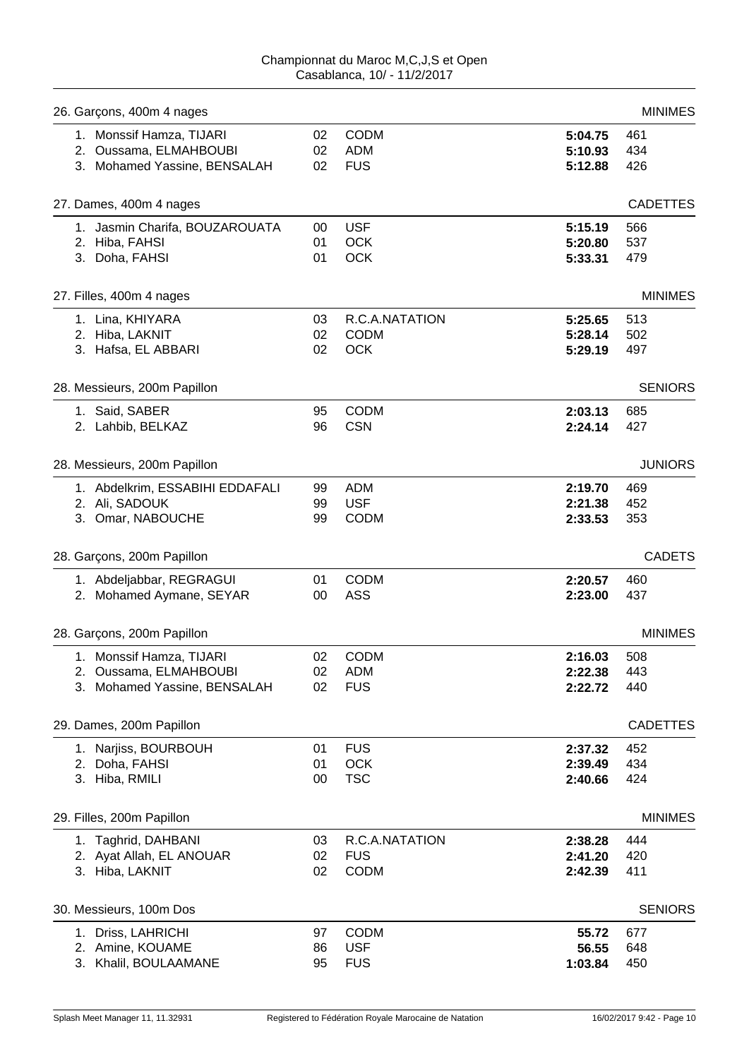| 26. Garçons, 400m 4 nages       |        |                |         | <b>MINIMES</b>  |
|---------------------------------|--------|----------------|---------|-----------------|
| 1. Monssif Hamza, TIJARI        | 02     | <b>CODM</b>    | 5:04.75 | 461             |
| 2. Oussama, ELMAHBOUBI          | 02     | <b>ADM</b>     | 5:10.93 | 434             |
| 3. Mohamed Yassine, BENSALAH    | 02     | <b>FUS</b>     | 5:12.88 | 426             |
| 27. Dames, 400m 4 nages         |        |                |         | <b>CADETTES</b> |
| 1. Jasmin Charifa, BOUZAROUATA  | $00\,$ | <b>USF</b>     | 5:15.19 | 566             |
| 2. Hiba, FAHSI                  | 01     | <b>OCK</b>     | 5:20.80 | 537             |
| 3. Doha, FAHSI                  | 01     | <b>OCK</b>     | 5:33.31 | 479             |
| 27. Filles, 400m 4 nages        |        |                |         | <b>MINIMES</b>  |
| 1. Lina, KHIYARA                | 03     | R.C.A.NATATION | 5:25.65 | 513             |
| 2. Hiba, LAKNIT                 | 02     | <b>CODM</b>    | 5:28.14 | 502             |
| 3. Hafsa, EL ABBARI             | 02     | <b>OCK</b>     | 5:29.19 | 497             |
| 28. Messieurs, 200m Papillon    |        |                |         | <b>SENIORS</b>  |
| 1. Said, SABER                  | 95     | <b>CODM</b>    | 2:03.13 | 685             |
| 2. Lahbib, BELKAZ               | 96     | <b>CSN</b>     | 2:24.14 | 427             |
| 28. Messieurs, 200m Papillon    |        |                |         | <b>JUNIORS</b>  |
| 1. Abdelkrim, ESSABIHI EDDAFALI | 99     | <b>ADM</b>     | 2:19.70 | 469             |
| 2. Ali, SADOUK                  | 99     | <b>USF</b>     | 2:21.38 | 452             |
| 3. Omar, NABOUCHE               | 99     | <b>CODM</b>    | 2:33.53 | 353             |
| 28. Garçons, 200m Papillon      |        |                |         | <b>CADETS</b>   |
| 1. Abdeljabbar, REGRAGUI        | 01     | <b>CODM</b>    | 2:20.57 | 460             |
| 2. Mohamed Aymane, SEYAR        | 00     | <b>ASS</b>     | 2:23.00 | 437             |
| 28. Garçons, 200m Papillon      |        |                |         | <b>MINIMES</b>  |
| 1. Monssif Hamza, TIJARI        | 02     | <b>CODM</b>    | 2:16.03 | 508             |
| 2. Oussama, ELMAHBOUBI          | 02     | <b>ADM</b>     | 2:22.38 | 443             |
| 3. Mohamed Yassine, BENSALAH    | 02     | <b>FUS</b>     | 2:22.72 | 440             |
| 29. Dames, 200m Papillon        |        |                |         | <b>CADETTES</b> |
| 1. Narjiss, BOURBOUH            | 01     | <b>FUS</b>     | 2:37.32 | 452             |
| 2. Doha, FAHSI                  | 01     | OCK            | 2:39.49 | 434             |
| 3. Hiba, RMILI                  | 00     | <b>TSC</b>     | 2:40.66 | 424             |
| 29. Filles, 200m Papillon       |        |                |         | <b>MINIMES</b>  |
| 1. Taghrid, DAHBANI             | 03     | R.C.A.NATATION | 2:38.28 | 444             |
| 2. Ayat Allah, EL ANOUAR        | 02     | <b>FUS</b>     | 2:41.20 | 420             |
| 3. Hiba, LAKNIT                 | 02     | <b>CODM</b>    | 2:42.39 | 411             |
| 30. Messieurs, 100m Dos         |        |                |         | <b>SENIORS</b>  |
| 1. Driss, LAHRICHI              | 97     | <b>CODM</b>    | 55.72   | 677             |
| 2. Amine, KOUAME                | 86     | <b>USF</b>     | 56.55   | 648             |
| 3. Khalil, BOULAAMANE           | 95     | <b>FUS</b>     | 1:03.84 | 450             |
|                                 |        |                |         |                 |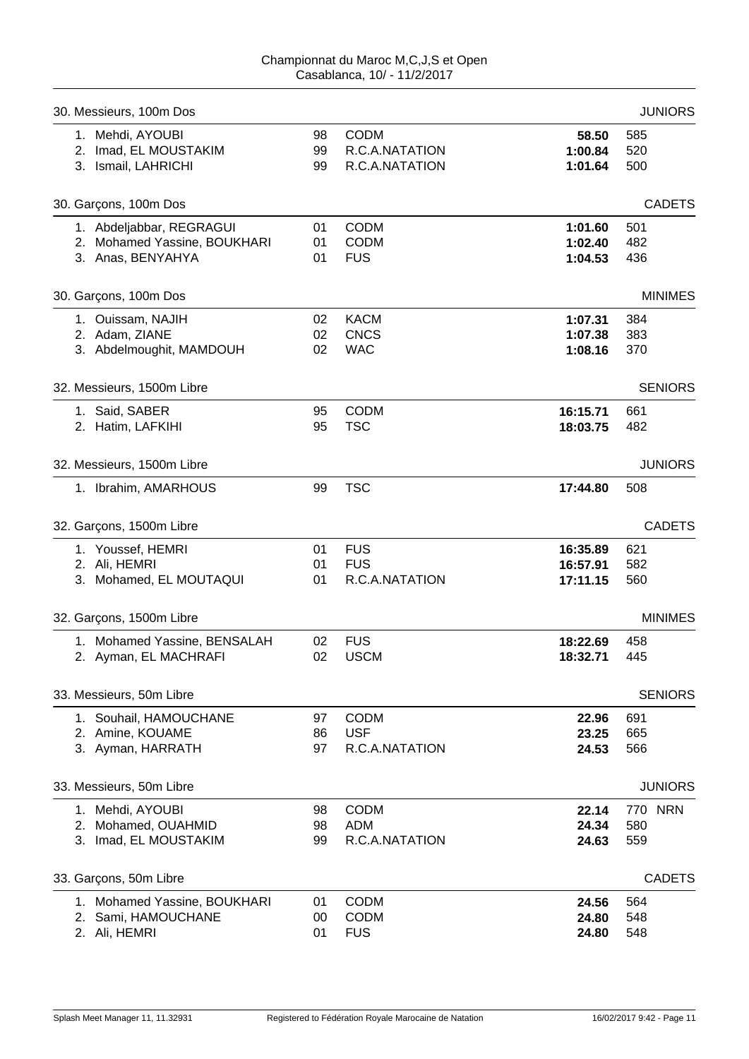| 30. Messieurs, 100m Dos      |    |                |          | <b>JUNIORS</b> |
|------------------------------|----|----------------|----------|----------------|
| 1. Mehdi, AYOUBI             | 98 | <b>CODM</b>    | 58.50    | 585            |
| 2. Imad, EL MOUSTAKIM        | 99 | R.C.A.NATATION | 1:00.84  | 520            |
| 3. Ismail, LAHRICHI          | 99 | R.C.A.NATATION | 1:01.64  | 500            |
| 30. Garçons, 100m Dos        |    |                |          | <b>CADETS</b>  |
| 1. Abdeljabbar, REGRAGUI     | 01 | <b>CODM</b>    | 1:01.60  | 501            |
| 2. Mohamed Yassine, BOUKHARI | 01 | <b>CODM</b>    | 1:02.40  | 482            |
| 3. Anas, BENYAHYA            | 01 | <b>FUS</b>     | 1:04.53  | 436            |
| 30. Garçons, 100m Dos        |    |                |          | <b>MINIMES</b> |
| 1. Ouissam, NAJIH            | 02 | <b>KACM</b>    | 1:07.31  | 384            |
| 2. Adam, ZIANE               | 02 | <b>CNCS</b>    | 1:07.38  | 383            |
| 3. Abdelmoughit, MAMDOUH     | 02 | <b>WAC</b>     | 1:08.16  | 370            |
| 32. Messieurs, 1500m Libre   |    |                |          | <b>SENIORS</b> |
| 1. Said, SABER               | 95 | <b>CODM</b>    | 16:15.71 | 661            |
| 2. Hatim, LAFKIHI            | 95 | <b>TSC</b>     | 18:03.75 | 482            |
| 32. Messieurs, 1500m Libre   |    |                |          | <b>JUNIORS</b> |
| 1. Ibrahim, AMARHOUS         | 99 | <b>TSC</b>     | 17:44.80 | 508            |
| 32. Garçons, 1500m Libre     |    |                |          | <b>CADETS</b>  |
| 1. Youssef, HEMRI            | 01 | <b>FUS</b>     | 16:35.89 | 621            |
| 2. Ali, HEMRI                | 01 | <b>FUS</b>     | 16:57.91 | 582            |
| 3. Mohamed, EL MOUTAQUI      | 01 | R.C.A.NATATION | 17:11.15 | 560            |
| 32. Garçons, 1500m Libre     |    |                |          | <b>MINIMES</b> |
| 1. Mohamed Yassine, BENSALAH | 02 | <b>FUS</b>     | 18:22.69 | 458            |
| 2. Ayman, EL MACHRAFI        | 02 | <b>USCM</b>    | 18:32.71 | 445            |
| 33. Messieurs, 50m Libre     |    |                |          | <b>SENIORS</b> |
| 1. Souhail, HAMOUCHANE       | 97 | <b>CODM</b>    | 22.96    | 691            |
| 2. Amine, KOUAME             | 86 | <b>USF</b>     | 23.25    | 665            |
| 3. Ayman, HARRATH            | 97 | R.C.A.NATATION | 24.53    | 566            |
| 33. Messieurs, 50m Libre     |    |                |          | <b>JUNIORS</b> |
| 1. Mehdi, AYOUBI             | 98 | <b>CODM</b>    | 22.14    | 770 NRN        |
| 2. Mohamed, OUAHMID          | 98 | <b>ADM</b>     | 24.34    | 580            |
| 3. Imad, EL MOUSTAKIM        | 99 | R.C.A.NATATION | 24.63    | 559            |
| 33. Garçons, 50m Libre       |    |                |          | <b>CADETS</b>  |
| 1. Mohamed Yassine, BOUKHARI | 01 | <b>CODM</b>    | 24.56    | 564            |
| 2. Sami, HAMOUCHANE          | 00 | <b>CODM</b>    | 24.80    | 548            |
| 2. Ali, HEMRI                | 01 | <b>FUS</b>     | 24.80    | 548            |